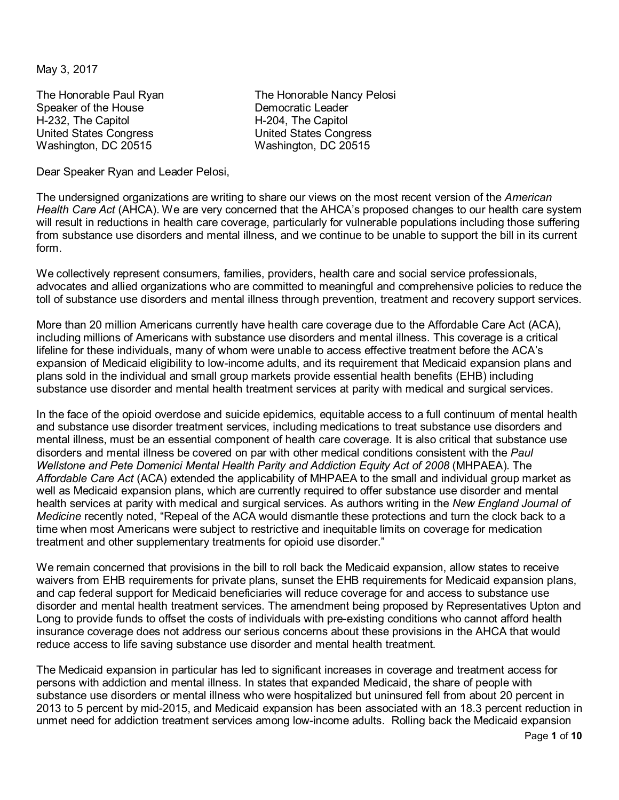May 3, 2017

Speaker of the House Democratic Leader H-232, The Capitol **H-204**, The Capitol H-232, The Capitol H-204, The Capitol United States Congress United States Congress<br>
Washington, DC 20515<br>
Washington, DC 20515 Washington, DC 20515

The Honorable Paul Ryan The Honorable Nancy Pelosi

Dear Speaker Ryan and Leader Pelosi,

The undersigned organizations are writing to share our views on the most recent version of the *American Health Care Act* (AHCA). We are very concerned that the AHCA's proposed changes to our health care system will result in reductions in health care coverage, particularly for vulnerable populations including those suffering from substance use disorders and mental illness, and we continue to be unable to support the bill in its current form.

We collectively represent consumers, families, providers, health care and social service professionals, advocates and allied organizations who are committed to meaningful and comprehensive policies to reduce the toll of substance use disorders and mental illness through prevention, treatment and recovery support services.

More than 20 million Americans currently have health care coverage due to the Affordable Care Act (ACA), including millions of Americans with substance use disorders and mental illness. This coverage is a critical lifeline for these individuals, many of whom were unable to access effective treatment before the ACA's expansion of Medicaid eligibility to low-income adults, and its requirement that Medicaid expansion plans and plans sold in the individual and small group markets provide essential health benefits (EHB) including substance use disorder and mental health treatment services at parity with medical and surgical services.

In the face of the opioid overdose and suicide epidemics, equitable access to a full continuum of mental health and substance use disorder treatment services, including medications to treat substance use disorders and mental illness, must be an essential component of health care coverage. It is also critical that substance use disorders and mental illness be covered on par with other medical conditions consistent with the *Paul Wellstone and Pete Domenici Mental Health Parity and Addiction Equity Act of 2008* (MHPAEA). The *Affordable Care Act* (ACA) extended the applicability of MHPAEA to the small and individual group market as well as Medicaid expansion plans, which are currently required to offer substance use disorder and mental health services at parity with medical and surgical services. As authors writing in the *New England Journal of Medicine* recently noted, "Repeal of the ACA would dismantle these protections and turn the clock back to a time when most Americans were subject to restrictive and inequitable limits on coverage for medication treatment and other supplementary treatments for opioid use disorder."

We remain concerned that provisions in the bill to roll back the Medicaid expansion, allow states to receive waivers from EHB requirements for private plans, sunset the EHB requirements for Medicaid expansion plans, and cap federal support for Medicaid beneficiaries will reduce coverage for and access to substance use disorder and mental health treatment services. The amendment being proposed by Representatives Upton and Long to provide funds to offset the costs of individuals with pre-existing conditions who cannot afford health insurance coverage does not address our serious concerns about these provisions in the AHCA that would reduce access to life saving substance use disorder and mental health treatment.

The Medicaid expansion in particular has led to significant increases in coverage and treatment access for persons with addiction and mental illness. In states that expanded Medicaid, the share of people with substance use disorders or mental illness who were hospitalized but uninsured fell from about 20 percent in 2013 to 5 percent by mid-2015, and Medicaid expansion has been associated with an 18.3 percent reduction in unmet need for addiction treatment services among low-income adults. Rolling back the Medicaid expansion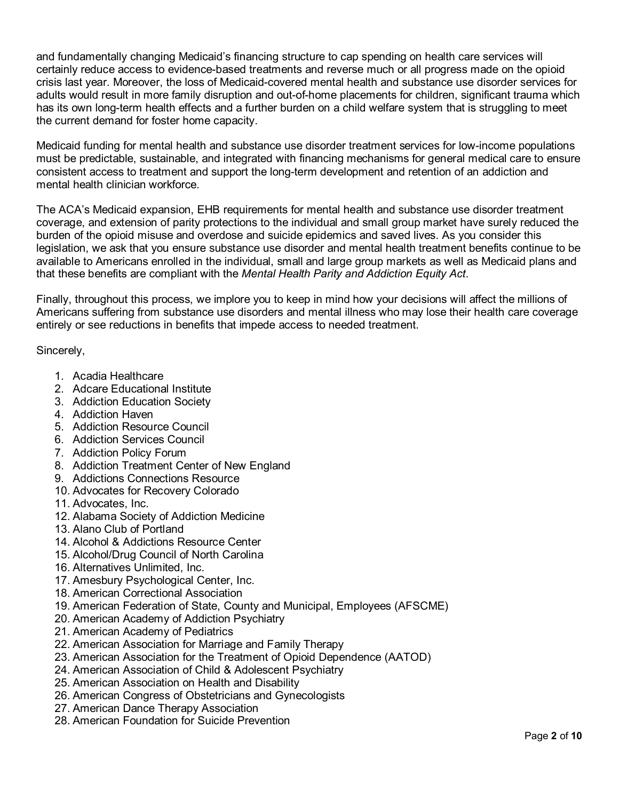and fundamentally changing Medicaid's financing structure to cap spending on health care services will certainly reduce access to evidence-based treatments and reverse much or all progress made on the opioid crisis last year. Moreover, the loss of Medicaid-covered mental health and substance use disorder services for adults would result in more family disruption and out-of-home placements for children, significant trauma which has its own long-term health effects and a further burden on a child welfare system that is struggling to meet the current demand for foster home capacity.

Medicaid funding for mental health and substance use disorder treatment services for low-income populations must be predictable, sustainable, and integrated with financing mechanisms for general medical care to ensure consistent access to treatment and support the long-term development and retention of an addiction and mental health clinician workforce.

The ACA's Medicaid expansion, EHB requirements for mental health and substance use disorder treatment coverage, and extension of parity protections to the individual and small group market have surely reduced the burden of the opioid misuse and overdose and suicide epidemics and saved lives. As you consider this legislation, we ask that you ensure substance use disorder and mental health treatment benefits continue to be available to Americans enrolled in the individual, small and large group markets as well as Medicaid plans and that these benefits are compliant with the *Mental Health Parity and Addiction Equity Act*.

Finally, throughout this process, we implore you to keep in mind how your decisions will affect the millions of Americans suffering from substance use disorders and mental illness who may lose their health care coverage entirely or see reductions in benefits that impede access to needed treatment.

Sincerely,

- 1. Acadia Healthcare
- 2. Adcare Educational Institute
- 3. Addiction Education Society
- 4. Addiction Haven
- 5. Addiction Resource Council
- 6. Addiction Services Council
- 7. Addiction Policy Forum
- 8. Addiction Treatment Center of New England
- 9. Addictions Connections Resource
- 10. Advocates for Recovery Colorado
- 11. Advocates, Inc.
- 12. Alabama Society of Addiction Medicine
- 13. Alano Club of Portland
- 14. Alcohol & Addictions Resource Center
- 15. Alcohol/Drug Council of North Carolina
- 16. Alternatives Unlimited, Inc.
- 17. Amesbury Psychological Center, Inc.
- 18. American Correctional Association
- 19. American Federation of State, County and Municipal, Employees (AFSCME)
- 20. American Academy of Addiction Psychiatry
- 21. American Academy of Pediatrics
- 22. American Association for Marriage and Family Therapy
- 23. American Association for the Treatment of Opioid Dependence (AATOD)
- 24. American Association of Child & Adolescent Psychiatry
- 25. American Association on Health and Disability
- 26. American Congress of Obstetricians and Gynecologists
- 27. American Dance Therapy Association
- 28. American Foundation for Suicide Prevention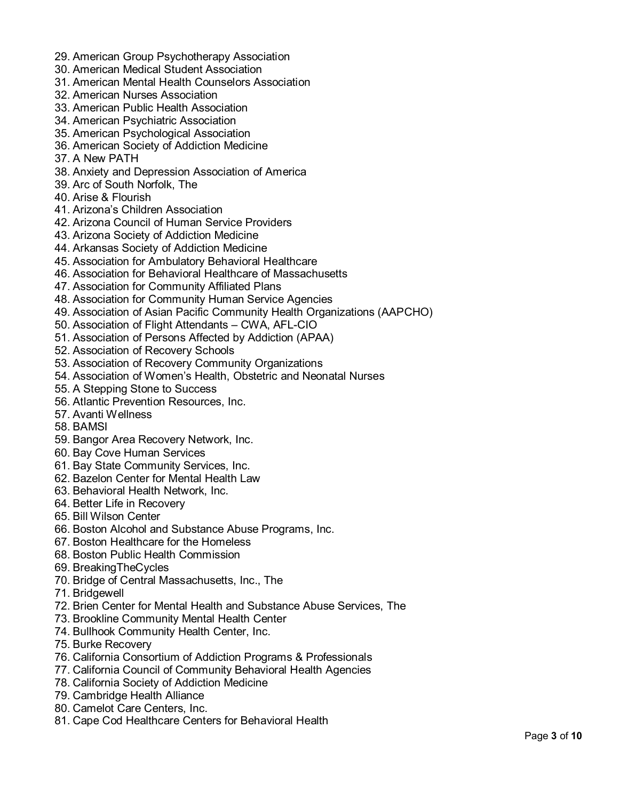- 29. American Group Psychotherapy Association
- 30. American Medical Student Association
- 31. American Mental Health Counselors Association
- 32. American Nurses Association
- 33. American Public Health Association
- 34. American Psychiatric Association
- 35. American Psychological Association
- 36. American Society of Addiction Medicine
- 37. A New PATH
- 38. Anxiety and Depression Association of America
- 39. Arc of South Norfolk, The
- 40. Arise & Flourish
- 41. Arizona's Children Association
- 42. Arizona Council of Human Service Providers
- 43. Arizona Society of Addiction Medicine
- 44. Arkansas Society of Addiction Medicine
- 45. Association for Ambulatory Behavioral Healthcare
- 46. Association for Behavioral Healthcare of Massachusetts
- 47. Association for Community Affiliated Plans
- 48. Association for Community Human Service Agencies
- 49. Association of Asian Pacific Community Health Organizations (AAPCHO)
- 50. Association of Flight Attendants CWA, AFL-CIO
- 51. Association of Persons Affected by Addiction (APAA)
- 52. Association of Recovery Schools
- 53. Association of Recovery Community Organizations
- 54. Association of Women's Health, Obstetric and Neonatal Nurses
- 55. A Stepping Stone to Success
- 56. Atlantic Prevention Resources, Inc.
- 57. Avanti Wellness
- 58. BAMSI
- 59. Bangor Area Recovery Network, Inc.
- 60. Bay Cove Human Services
- 61. Bay State Community Services, Inc.
- 62. Bazelon Center for Mental Health Law
- 63. Behavioral Health Network, Inc.
- 64. Better Life in Recovery
- 65. Bill Wilson Center
- 66. Boston Alcohol and Substance Abuse Programs, Inc.
- 67. Boston Healthcare for the Homeless
- 68. Boston Public Health Commission
- 69. BreakingTheCycles
- 70. Bridge of Central Massachusetts, Inc., The
- 71. Bridgewell
- 72. Brien Center for Mental Health and Substance Abuse Services, The
- 73. Brookline Community Mental Health Center
- 74. Bullhook Community Health Center, Inc.
- 75. Burke Recovery
- 76. California Consortium of Addiction Programs & Professionals
- 77. California Council of Community Behavioral Health Agencies
- 78. California Society of Addiction Medicine
- 79. Cambridge Health Alliance
- 80. Camelot Care Centers, Inc.
- 81. Cape Cod Healthcare Centers for Behavioral Health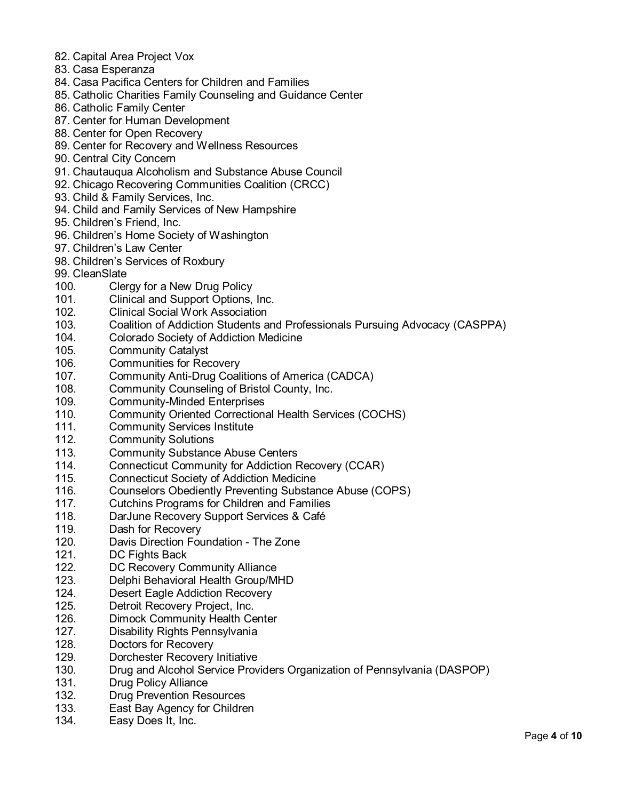- 82. Capital Area Project Vox
- 83. Casa Esperanza
- 84. Casa Pacifica Centers for Children and Families
- 85. Catholic Charities Family Counseling and Guidance Center
- 86. Catholic Family Center
- 87. Center for Human Development
- 88. Center for Open Recovery
- 89. Center for Recovery and Wellness Resources
- 90. Central City Concern
- 91. Chautauqua Alcoholism and Substance Abuse Council
- 92. Chicago Recovering Communities Coalition (CRCC)
- 93. Child & Family Services, Inc.
- 94. Child and Family Services of New Hampshire
- 95. Children's Friend, Inc.
- 96. Children's Home Society of Washington
- 97. Children's Law Center
- 98. Children's Services of Roxbury
- 99. CleanSlate
- 100. Clergy for a New Drug Policy
- 101. Clinical and Support Options, Inc.
- 102. Clinical Social Work Association
- 103. Coalition of Addiction Students and Professionals Pursuing Advocacy (CASPPA)
- 104. Colorado Society of Addiction Medicine
- 105. Community Catalyst
- 106. Communities for Recovery
- 107. Community Anti-Drug Coalitions of America (CADCA)
- 108. Community Counseling of Bristol County, Inc.
- 109. Community-Minded Enterprises
- 110. Community Oriented Correctional Health Services (COCHS)
- 111. Community Services Institute
- 112. Community Solutions
- 113. Community Substance Abuse Centers
- 114. Connecticut Community for Addiction Recovery (CCAR)
- 115. Connecticut Society of Addiction Medicine
- 116. Counselors Obediently Preventing Substance Abuse (COPS)
- 117. Cutchins Programs for Children and Families
- 118. DarJune Recovery Support Services & Café
- 119. Dash for Recovery
- 120. Davis Direction Foundation The Zone
- 121. DC Fights Back
- 122. DC Recovery Community Alliance
- 123. Delphi Behavioral Health Group/MHD
- 124. Desert Eagle Addiction Recovery
- 125. Detroit Recovery Project, Inc.
- 126. Dimock Community Health Center
- 127. Disability Rights Pennsylvania
- 128. Doctors for Recovery
- 129. Dorchester Recovery Initiative
- 130. Drug and Alcohol Service Providers Organization of Pennsylvania (DASPOP)
- 131. Drug Policy Alliance
- 132. Drug Prevention Resources
- 133. East Bay Agency for Children
- 134. Easy Does It, Inc.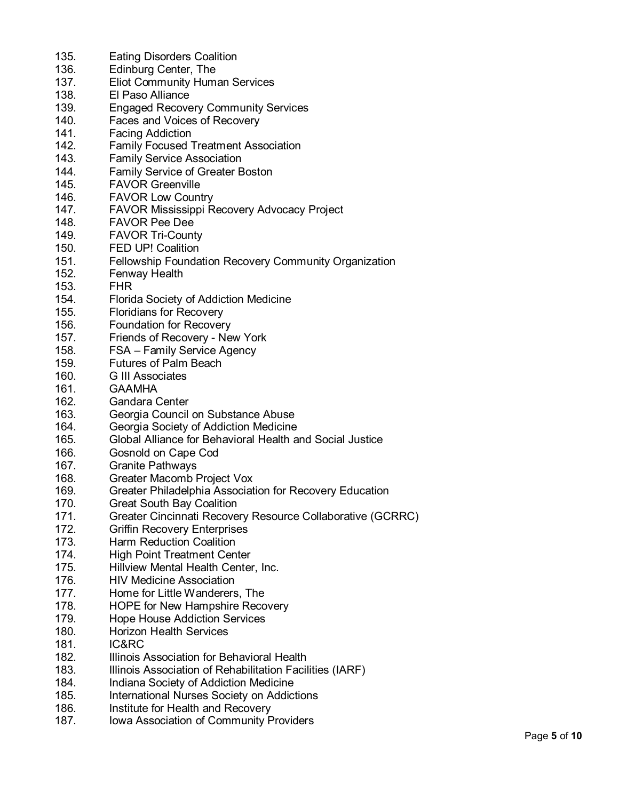| 135. | <b>Eating Disorders Coalition</b>                          |
|------|------------------------------------------------------------|
| 136. | Edinburg Center, The                                       |
| 137. | <b>Eliot Community Human Services</b>                      |
| 138. | El Paso Alliance                                           |
| 139. | <b>Engaged Recovery Community Services</b>                 |
| 140. | Faces and Voices of Recovery                               |
| 141. | <b>Facing Addiction</b>                                    |
| 142. | <b>Family Focused Treatment Association</b>                |
| 143. | <b>Family Service Association</b>                          |
| 144. | Family Service of Greater Boston                           |
| 145. | <b>FAVOR Greenville</b>                                    |
| 146. | <b>FAVOR Low Country</b>                                   |
| 147. | FAVOR Mississippi Recovery Advocacy Project                |
| 148. | <b>FAVOR Pee Dee</b>                                       |
| 149. | <b>FAVOR Tri-County</b>                                    |
| 150. | <b>FED UP! Coalition</b>                                   |
|      |                                                            |
| 151. | Fellowship Foundation Recovery Community Organization      |
| 152. | <b>Fenway Health</b>                                       |
| 153. | <b>FHR</b>                                                 |
| 154. | Florida Society of Addiction Medicine                      |
| 155. | <b>Floridians for Recovery</b>                             |
| 156. | <b>Foundation for Recovery</b>                             |
| 157. | Friends of Recovery - New York                             |
| 158. | FSA - Family Service Agency                                |
| 159. | <b>Futures of Palm Beach</b>                               |
| 160. | <b>G</b> III Associates                                    |
| 161. | <b>GAAMHA</b>                                              |
| 162. | <b>Gandara Center</b>                                      |
| 163. | Georgia Council on Substance Abuse                         |
| 164. | Georgia Society of Addiction Medicine                      |
| 165. | Global Alliance for Behavioral Health and Social Justice   |
| 166. | Gosnold on Cape Cod                                        |
| 167. | <b>Granite Pathways</b>                                    |
| 168. | Greater Macomb Project Vox                                 |
| 169. | Greater Philadelphia Association for Recovery Education    |
| 170. | <b>Great South Bay Coalition</b>                           |
| 171. | Greater Cincinnati Recovery Resource Collaborative (GCRRC) |
| 172. | <b>Griffin Recovery Enterprises</b>                        |
| 173. | Harm Reduction Coalition                                   |
| 174. | <b>High Point Treatment Center</b>                         |
| 175. | Hillview Mental Health Center, Inc.                        |
| 176. | <b>HIV Medicine Association</b>                            |
| 177. | Home for Little Wanderers, The                             |
| 178. | <b>HOPE for New Hampshire Recovery</b>                     |
| 179. | <b>Hope House Addiction Services</b>                       |
| 180. | <b>Horizon Health Services</b>                             |
| 181. | IC&RC                                                      |
| 182. | Illinois Association for Behavioral Health                 |
| 183. | Illinois Association of Rehabilitation Facilities (IARF)   |
| 184. | Indiana Society of Addiction Medicine                      |
| 185. | International Nurses Society on Addictions                 |
| 186. | Institute for Health and Recovery                          |
| 187. | Iowa Association of Community Providers                    |
|      |                                                            |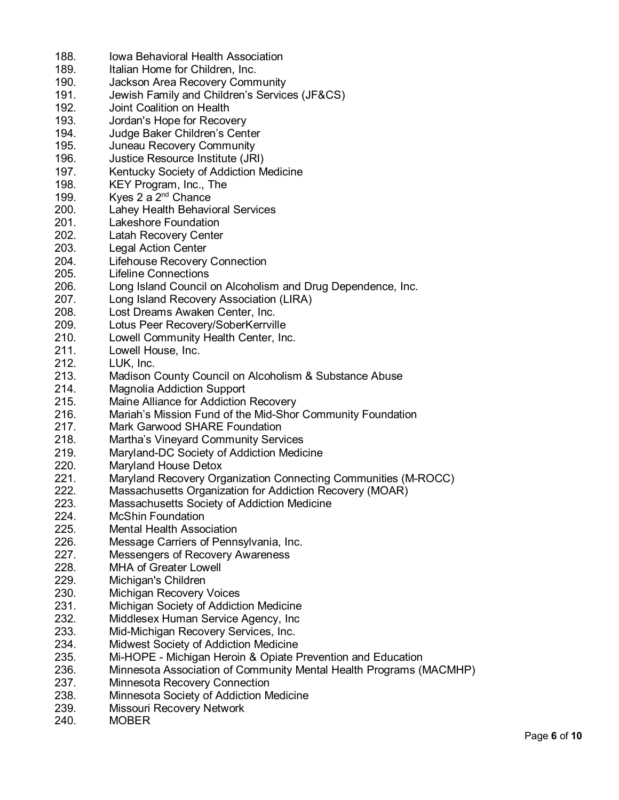| 188. | Iowa Behavioral Health Association                                 |
|------|--------------------------------------------------------------------|
| 189. | Italian Home for Children, Inc.                                    |
| 190. | Jackson Area Recovery Community                                    |
| 191. | Jewish Family and Children's Services (JF&CS)                      |
| 192. | Joint Coalition on Health                                          |
| 193. | Jordan's Hope for Recovery                                         |
| 194. | Judge Baker Children's Center                                      |
| 195. | Juneau Recovery Community                                          |
| 196. | Justice Resource Institute (JRI)                                   |
| 197. | Kentucky Society of Addiction Medicine                             |
| 198. | KEY Program, Inc., The                                             |
| 199. | Kyes 2 a $2nd$ Chance                                              |
| 200. |                                                                    |
|      | Lahey Health Behavioral Services                                   |
| 201. | Lakeshore Foundation                                               |
| 202. | Latah Recovery Center                                              |
| 203. | <b>Legal Action Center</b>                                         |
| 204. | <b>Lifehouse Recovery Connection</b>                               |
| 205. | <b>Lifeline Connections</b>                                        |
| 206. | Long Island Council on Alcoholism and Drug Dependence, Inc.        |
| 207. | Long Island Recovery Association (LIRA)                            |
| 208. | Lost Dreams Awaken Center, Inc.                                    |
| 209. | Lotus Peer Recovery/SoberKerrville                                 |
| 210. | Lowell Community Health Center, Inc.                               |
| 211. | Lowell House, Inc.                                                 |
| 212. | LUK, Inc.                                                          |
| 213. | Madison County Council on Alcoholism & Substance Abuse             |
| 214. | <b>Magnolia Addiction Support</b>                                  |
| 215. | Maine Alliance for Addiction Recovery                              |
| 216. | Mariah's Mission Fund of the Mid-Shor Community Foundation         |
| 217. | Mark Garwood SHARE Foundation                                      |
| 218. | <b>Martha's Vineyard Community Services</b>                        |
| 219. | Maryland-DC Society of Addiction Medicine                          |
| 220. | Maryland House Detox                                               |
| 221. | Maryland Recovery Organization Connecting Communities (M-ROCC)     |
| 222. | Massachusetts Organization for Addiction Recovery (MOAR)           |
| 223. | Massachusetts Society of Addiction Medicine                        |
| 224. | <b>McShin Foundation</b>                                           |
| 225. | <b>Mental Health Association</b>                                   |
| 226. | Message Carriers of Pennsylvania, Inc.                             |
| 227. | Messengers of Recovery Awareness                                   |
| 228. | <b>MHA of Greater Lowell</b>                                       |
|      |                                                                    |
| 229. | Michigan's Children                                                |
| 230. | <b>Michigan Recovery Voices</b>                                    |
| 231. | Michigan Society of Addiction Medicine                             |
| 232. | Middlesex Human Service Agency, Inc.                               |
| 233. | Mid-Michigan Recovery Services, Inc.                               |
| 234. | Midwest Society of Addiction Medicine                              |
| 235. | Mi-HOPE - Michigan Heroin & Opiate Prevention and Education        |
| 236. | Minnesota Association of Community Mental Health Programs (MACMHP) |
| 237. | Minnesota Recovery Connection                                      |
| 238. | Minnesota Society of Addiction Medicine                            |
| 239. | Missouri Recovery Network                                          |
| 240. | <b>MOBER</b>                                                       |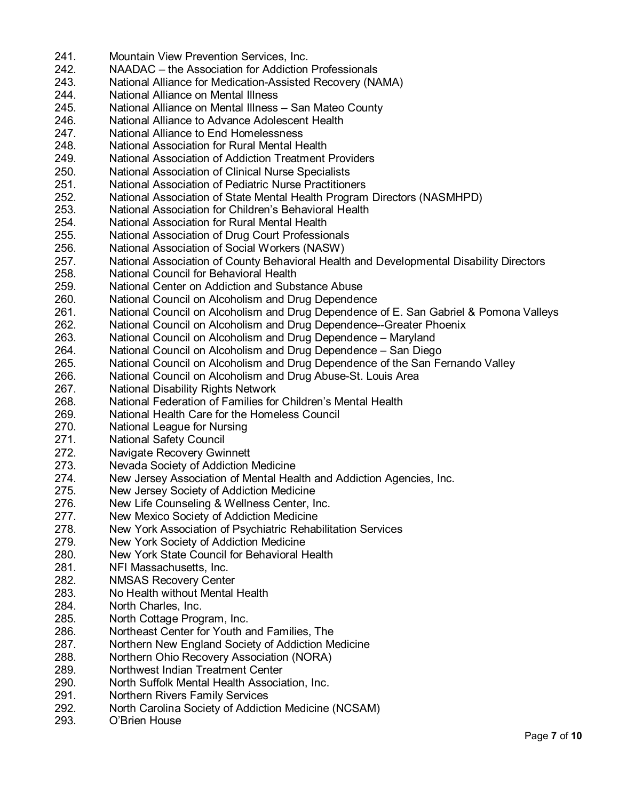241. Mountain View Prevention Services, Inc. 242. NAADAC – the Association for Addiction Professionals 243. National Alliance for Medication-Assisted Recovery (NAMA) 244. National Alliance on Mental Illness 245. National Alliance on Mental Illness – San Mateo County 246. National Alliance to Advance Adolescent Health<br>247. National Alliance to End Homelessness National Alliance to End Homelessness 248. National Association for Rural Mental Health 249. National Association of Addiction Treatment Providers 250. National Association of Clinical Nurse Specialists 251. National Association of Pediatric Nurse Practitioners 252. National Association of State Mental Health Program Directors (NASMHPD) 253. National Association for Children's Behavioral Health 254. National Association for Rural Mental Health 255. National Association of Drug Court Professionals 256. National Association of Social Workers (NASW) 257. National Association of County Behavioral Health and Developmental Disability Directors 258. National Council for Behavioral Health 259. National Center on Addiction and Substance Abuse 260. National Council on Alcoholism and Drug Dependence 261. National Council on Alcoholism and Drug Dependence of E. San Gabriel & Pomona Valleys 262. National Council on Alcoholism and Drug Dependence--Greater Phoenix 263. National Council on Alcoholism and Drug Dependence – Maryland 264. National Council on Alcoholism and Drug Dependence – San Diego 265. National Council on Alcoholism and Drug Dependence of the San Fernando Valley 266. National Council on Alcoholism and Drug Abuse-St. Louis Area 267. National Disability Rights Network 268. National Federation of Families for Children's Mental Health 269. National Health Care for the Homeless Council 270. National League for Nursing 271. National Safety Council 272. Navigate Recovery Gwinnett 273. Nevada Society of Addiction Medicine 274. New Jersey Association of Mental Health and Addiction Agencies, Inc. 275. New Jersey Society of Addiction Medicine 276. New Life Counseling & Wellness Center, Inc.<br>277. New Mexico Society of Addiction Medicine New Mexico Society of Addiction Medicine 278. New York Association of Psychiatric Rehabilitation Services 279. New York Society of Addiction Medicine 280. New York State Council for Behavioral Health 281. NFI Massachusetts, Inc. 282. NMSAS Recovery Center 283. No Health without Mental Health 284. North Charles, Inc. 285. North Cottage Program, Inc. 286. Northeast Center for Youth and Families, The 287. Northern New England Society of Addiction Medicine 288. Northern Ohio Recovery Association (NORA) 289. Northwest Indian Treatment Center 290. North Suffolk Mental Health Association, Inc. 291. Northern Rivers Family Services 292. North Carolina Society of Addiction Medicine (NCSAM) 293. O'Brien House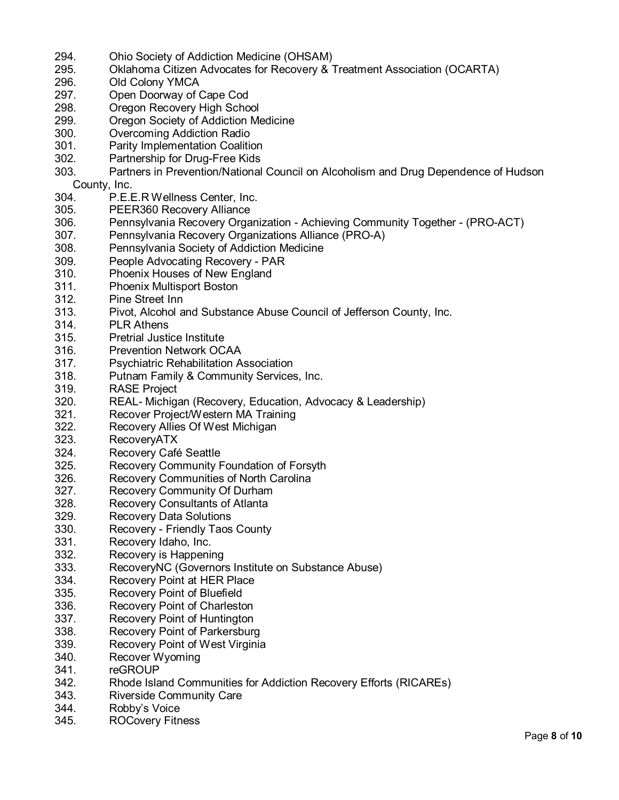- 294. Ohio Society of Addiction Medicine (OHSAM)
- 295. Oklahoma Citizen Advocates for Recovery & Treatment Association (OCARTA)
- 296. Old Colony YMCA<br>297. Open Doorway of (
- Open Doorway of Cape Cod
- 298. Oregon Recovery High School
- 299. Oregon Society of Addiction Medicine
- 300. Overcoming Addiction Radio
- 301. Parity Implementation Coalition
- 302. Partnership for Drug-Free Kids
- 303. Partners in Prevention/National Council on Alcoholism and Drug Dependence of Hudson County, Inc.
- 304. P.E.E.R Wellness Center, Inc.
- 305. PEER360 Recovery Alliance
- 306. Pennsylvania Recovery Organization Achieving Community Together (PRO-ACT)
- 307. Pennsylvania Recovery Organizations Alliance (PRO-A)
- 308. Pennsylvania Society of Addiction Medicine
- 309. People Advocating Recovery PAR
- 310. Phoenix Houses of New England
- 311. Phoenix Multisport Boston
- 312. Pine Street Inn
- 313. Pivot, Alcohol and Substance Abuse Council of Jefferson County, Inc.
- 314. PLR Athens
- 315. Pretrial Justice Institute
- 316. Prevention Network OCAA
- 317. Psychiatric Rehabilitation Association
- 318. Putnam Family & Community Services, Inc.
- 319. RASE Project
- 320. REAL- Michigan (Recovery, Education, Advocacy & Leadership)
- 321. Recover Project/Western MA Training
- 322. Recovery Allies Of West Michigan
- 323. RecoveryATX
- 324. Recovery Café Seattle
- 325. Recovery Community Foundation of Forsyth
- 326. Recovery Communities of North Carolina
- 327. Recovery Community Of Durham
- 328. Recovery Consultants of Atlanta<br>329. Recovery Data Solutions
- Recovery Data Solutions
- 330. Recovery Friendly Taos County
- 331. Recovery Idaho, Inc.
- 332. Recovery is Happening
- 333. RecoveryNC (Governors Institute on Substance Abuse)
- 334. Recovery Point at HER Place
- 335. Recovery Point of Bluefield
- 336. Recovery Point of Charleston
- 337. Recovery Point of Huntington
- 338. Recovery Point of Parkersburg
- 339. Recovery Point of West Virginia
- 340. Recover Wyoming
- 341. reGROUP
- 342. Rhode Island Communities for Addiction Recovery Efforts (RICAREs)
- 343. Riverside Community Care
- 344. Robby's Voice
- 345. ROCovery Fitness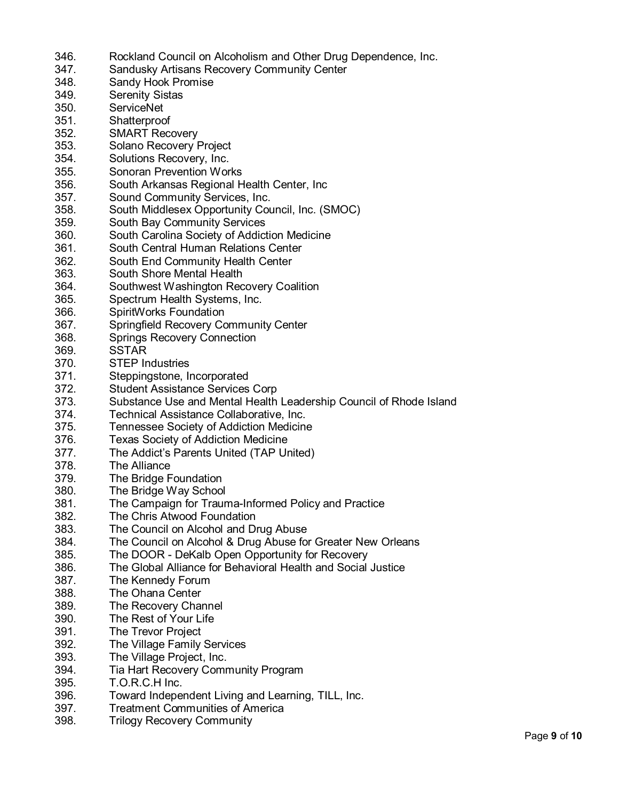- 346. Rockland Council on Alcoholism and Other Drug Dependence, Inc.
- 347. Sandusky Artisans Recovery Community Center
- 348. Sandy Hook Promise
- 349. Serenity Sistas
- 350. ServiceNet
- 351. Shatterproof
- 352. SMART Recovery
- 353. Solano Recovery Project
- 354. Solutions Recovery, Inc.
- 355. Sonoran Prevention Works
- 356. South Arkansas Regional Health Center, Inc
- 357. Sound Community Services, Inc.
- 358. South Middlesex Opportunity Council, Inc. (SMOC)
- 359. South Bay Community Services
- 360. South Carolina Society of Addiction Medicine
- 361. South Central Human Relations Center
- 362. South End Community Health Center
- 363. South Shore Mental Health
- 364. Southwest Washington Recovery Coalition
- 365. Spectrum Health Systems, Inc.
- 366. SpiritWorks Foundation
- 367. Springfield Recovery Community Center
- 368. Springs Recovery Connection
- 369. SSTAR
- 370. STEP Industries
- 371. Steppingstone, Incorporated
- 372. Student Assistance Services Corp<br>373. Substance Use and Mental Health
- Substance Use and Mental Health Leadership Council of Rhode Island
- 374. Technical Assistance Collaborative, Inc.
- 375. Tennessee Society of Addiction Medicine
- 376. Texas Society of Addiction Medicine
- 377. The Addict's Parents United (TAP United)
- 378. The Alliance
- 379. The Bridge Foundation
- 380. The Bridge Way School
- 381. The Campaign for Trauma -Informed Policy and Practice
- 382. The Chris Atwood Foundation
- 383. The Council on Alcohol and Drug Abuse
- 384. The Council on Alcohol & Drug Abuse for Greater New Orleans
- 385. The DOOR DeKalb Open Opportunity for Recovery
- 386. The Global Alliance for Behavioral Health and Social Justice
- 387. The Kennedy Forum
- 388. The Ohana Center
- 389. The Recovery Channel
- 390. The Rest of Your Life
- 391. The Trevor Project
- 392. The Village Family Services
- 393. The Village Project, Inc.
- 394. Tia Hart Recovery Community Program
- 395. T.O.R.C.H Inc.
- 396. Toward Independent Living and Learning, TILL, Inc.
- 397. Treatment Communities of America
- 398. Trilogy Recovery Community